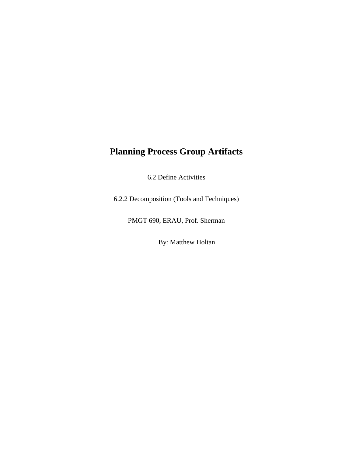## **Planning Process Group Artifacts**

6.2 Define Activities

6.2.2 Decomposition (Tools and Techniques)

PMGT 690, ERAU, Prof. Sherman

By: Matthew Holtan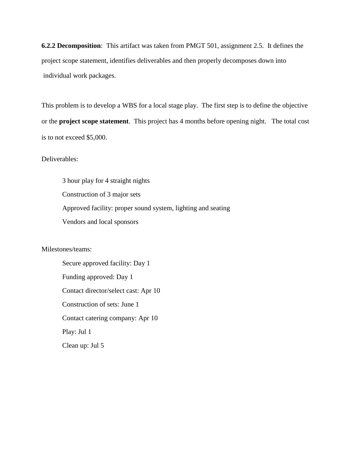**6.2.2 Decomposition**: This artifact was taken from PMGT 501, assignment 2.5. It defines the project scope statement, identifies deliverables and then properly decomposes down into individual work packages.

This problem is to develop a WBS for a local stage play. The first step is to define the objective or the **project scope statement**. This project has 4 months before opening night. The total cost is to not exceed \$5,000.

Deliverables:

3 hour play for 4 straight nights Construction of 3 major sets Approved facility: proper sound system, lighting and seating Vendors and local sponsors

Milestones/teams:

Secure approved facility: Day 1 Funding approved: Day 1 Contact director/select cast: Apr 10 Construction of sets: June 1 Contact catering company: Apr 10 Play: Jul 1 Clean up: Jul 5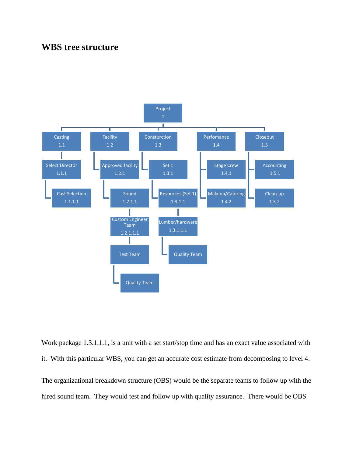## **WBS tree structure**



Work package 1.3.1.1.1, is a unit with a set start/stop time and has an exact value associated with it. With this particular WBS, you can get an accurate cost estimate from decomposing to level 4. The organizational breakdown structure (OBS) would be the separate teams to follow up with the hired sound team. They would test and follow up with quality assurance. There would be OBS